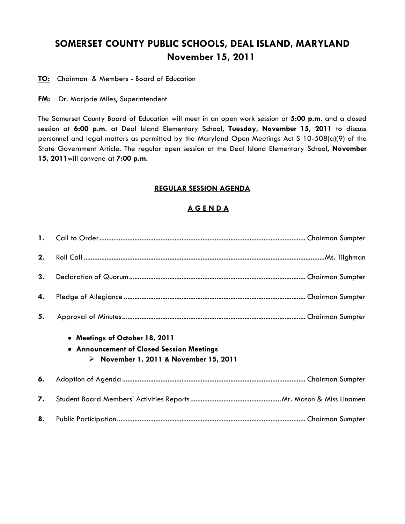## **SOMERSET COUNTY PUBLIC SCHOOLS, DEAL ISLAND, MARYLAND November 15, 2011**

**TO:** Chairman & Members - Board of Education

**FM:** Dr. Marjorie Miles, Superintendent

The Somerset County Board of Education will meet in an open work session at **5:00 p.m**. and a closed session at **6:00 p.m**. at Deal Island Elementary School, **Tuesday, November 15, 2011** to discuss personnel and legal matters as permitted by the Maryland Open Meetings Act S 10-508(a)(9) of the State Government Article. The regular open session at the Deal Island Elementary School, **November 15, 2011**will convene at **7:00 p.m.**

## **REGULAR SESSION AGENDA**

## **A G E N D A**

| 2. |                                                                                                                                      |  |
|----|--------------------------------------------------------------------------------------------------------------------------------------|--|
| 3. |                                                                                                                                      |  |
| 4. |                                                                                                                                      |  |
| 5. |                                                                                                                                      |  |
|    | • Meetings of October 18, 2011<br>• Announcement of Closed Session Meetings<br>$\triangleright$ November 1, 2011 & November 15, 2011 |  |
| 6. |                                                                                                                                      |  |
| 7. |                                                                                                                                      |  |
| 8. |                                                                                                                                      |  |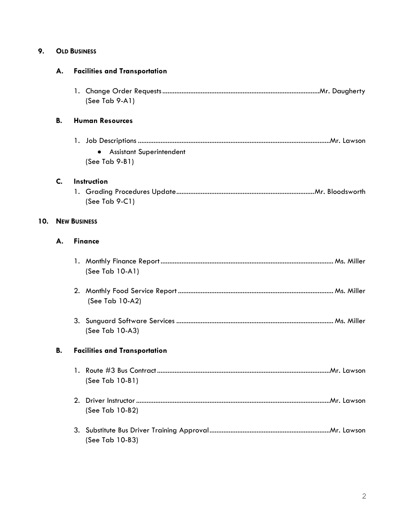| 9. | <b>OLD BUSINESS</b> |
|----|---------------------|
|----|---------------------|

|     | А. | <b>Facilities and Transportation</b>                |  |
|-----|----|-----------------------------------------------------|--|
|     |    | (See Tab 9-A1)                                      |  |
|     | В. | <b>Human Resources</b>                              |  |
|     |    | <b>Assistant Superintendent</b><br>$(See Tab 9-B1)$ |  |
|     | C. | Instruction<br>(See Tab $9-C1$ )                    |  |
| 10. |    | <b>NEW BUSINESS</b>                                 |  |
|     | А. | <b>Finance</b>                                      |  |
|     |    | (See Tab 10-A1)                                     |  |
|     |    | (See Tab 10-A2)                                     |  |
|     |    | (See Tab 10-A3)                                     |  |
|     | В. | <b>Facilities and Transportation</b>                |  |
|     |    | (See Tab 10-B1)                                     |  |
|     |    | (See Tab 10-B2)                                     |  |
|     |    | (See Tab 10-B3)                                     |  |